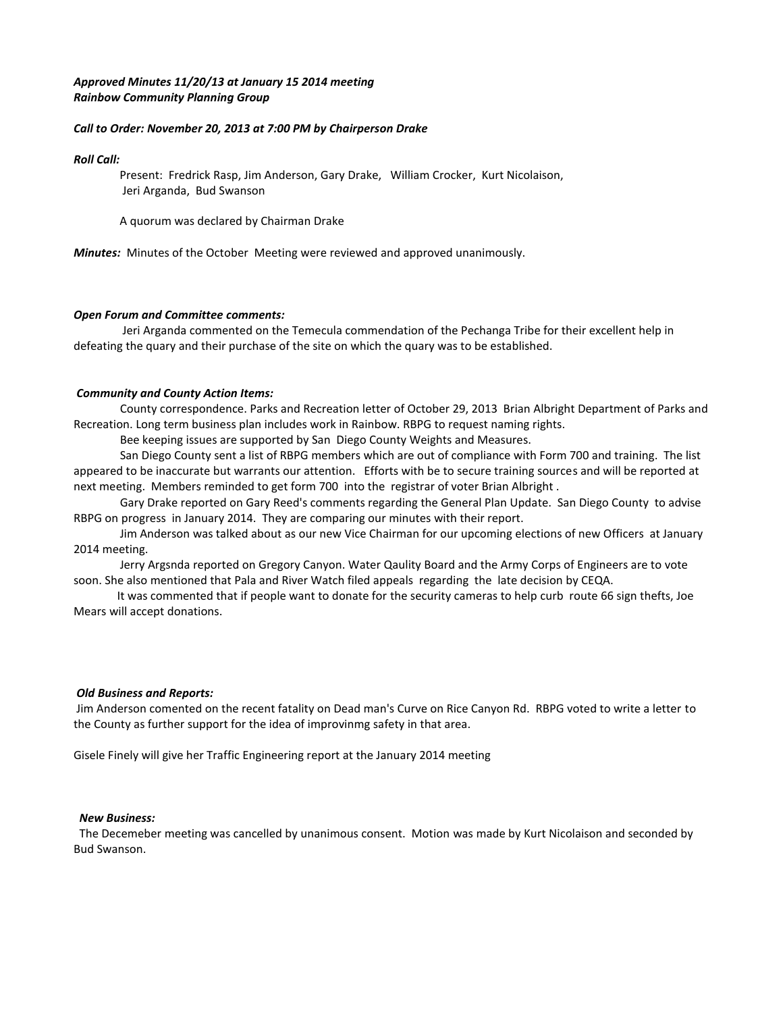# *Approved Minutes 11/20/13 at January 15 2014 meeting Rainbow Community Planning Group*

### *Call to Order: November 20, 2013 at 7:00 PM by Chairperson Drake*

### *Roll Call:*

Present: Fredrick Rasp, Jim Anderson, Gary Drake, William Crocker, Kurt Nicolaison, Jeri Arganda, Bud Swanson

A quorum was declared by Chairman Drake

*Minutes:* Minutes of the October Meeting were reviewed and approved unanimously.

## *Open Forum and Committee comments:*

Jeri Arganda commented on the Temecula commendation of the Pechanga Tribe for their excellent help in defeating the quary and their purchase of the site on which the quary was to be established.

## *Community and County Action Items:*

County correspondence. Parks and Recreation letter of October 29, 2013 Brian Albright Department of Parks and Recreation. Long term business plan includes work in Rainbow. RBPG to request naming rights.

Bee keeping issues are supported by San Diego County Weights and Measures.

 San Diego County sent a list of RBPG members which are out of compliance with Form 700 and training. The list appeared to be inaccurate but warrants our attention. Efforts with be to secure training sources and will be reported at next meeting. Members reminded to get form 700 into the registrar of voter Brian Albright .

 Gary Drake reported on Gary Reed's comments regarding the General Plan Update. San Diego County to advise RBPG on progress in January 2014. They are comparing our minutes with their report.

 Jim Anderson was talked about as our new Vice Chairman for our upcoming elections of new Officers at January 2014 meeting.

 Jerry Argsnda reported on Gregory Canyon. Water Qaulity Board and the Army Corps of Engineers are to vote soon. She also mentioned that Pala and River Watch filed appeals regarding the late decision by CEQA.

 It was commented that if people want to donate for the security cameras to help curb route 66 sign thefts, Joe Mears will accept donations.

### *Old Business and Reports:*

Jim Anderson comented on the recent fatality on Dead man's Curve on Rice Canyon Rd. RBPG voted to write a letter to the County as further support for the idea of improvinmg safety in that area.

Gisele Finely will give her Traffic Engineering report at the January 2014 meeting

### *New Business:*

 The Decemeber meeting was cancelled by unanimous consent. Motion was made by Kurt Nicolaison and seconded by Bud Swanson.